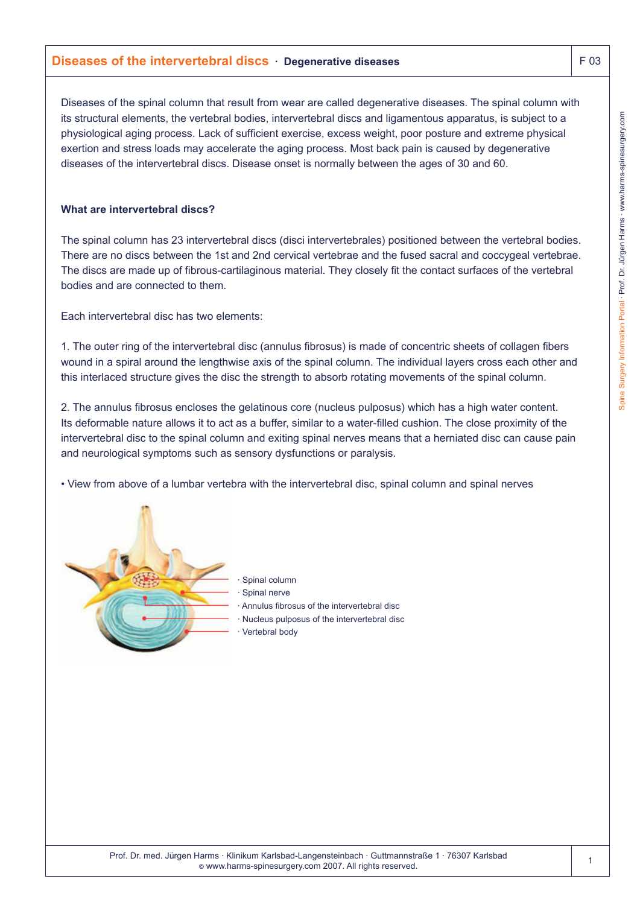# **Diseases of the intervertebral discs · Degenerative diseases F 03** F 03

Diseases of the spinal column that result from wear are called degenerative diseases. The spinal column with its structural elements, the vertebral bodies, intervertebral discs and ligamentous apparatus, is subject to a physiological aging process. Lack of sufficient exercise, excess weight, poor posture and extreme physical exertion and stress loads may accelerate the aging process. Most back pain is caused by degenerative diseases of the intervertebral discs. Disease onset is normally between the ages of 30 and 60.

#### **What are intervertebral discs?**

The spinal column has 23 intervertebral discs (disci intervertebrales) positioned between the vertebral bodies. There are no discs between the 1st and 2nd cervical vertebrae and the fused sacral and coccygeal vertebrae. The discs are made up of fibrous-cartilaginous material. They closely fit the contact surfaces of the vertebral bodies and are connected to them.

Each intervertebral disc has two elements:

1. The outer ring of the intervertebral disc (annulus fibrosus) is made of concentric sheets of collagen fibers wound in a spiral around the lengthwise axis of the spinal column. The individual layers cross each other and this interlaced structure gives the disc the strength to absorb rotating movements of the spinal column.

2. The annulus fibrosus encloses the gelatinous core (nucleus pulposus) which has a high water content. Its deformable nature allows it to act as a buffer, similar to a water-filled cushion. The close proximity of the intervertebral disc to the spinal column and exiting spinal nerves means that a herniated disc can cause pain and neurological symptoms such as sensory dysfunctions or paralysis.

• View from above of a lumbar vertebra with the intervertebral disc, spinal column and spinal nerves



- Spinal column
- Spinal nerve
- · Annulus fibrosus of the intervertebral disc
- · Nucleus pulposus of the intervertebral disc
- Vertebral body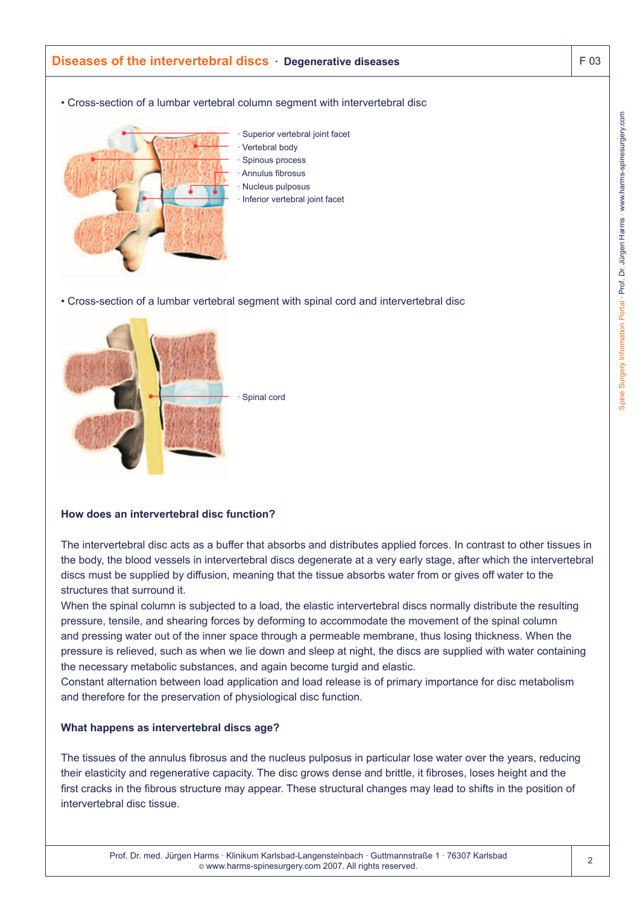

• Cross-section of a lumbar vertebral segment with spinal cord and intervertebral disc



# **How does an intervertebral disc function?**

The intervertebral disc acts as a buffer that absorbs and distributes applied forces. In contrast to other tissues in the body, the blood vessels in intervertebral discs degenerate at a very early stage, after which the intervertebral discs must be supplied by diffusion, meaning that the tissue absorbs water from or gives off water to the structures that surround it.

When the spinal column is subjected to a load, the elastic intervertebral discs normally distribute the resulting pressure, tensile, and shearing forces by deforming to accommodate the movement of the spinal column and pressing water out of the inner space through a permeable membrane, thus losing thickness. When the pressure is relieved, such as when we lie down and sleep at night, the discs are supplied with water containing the necessary metabolic substances, and again become turgid and elastic.

Constant alternation between load application and load release is of primary importance for disc metabolism and therefore for the preservation of physiological disc function.

#### **What happens as intervertebral discs age?**

The tissues of the annulus fibrosus and the nucleus pulposus in particular lose water over the years, reducing their elasticity and regenerative capacity. The disc grows dense and brittle, it fibroses, loses height and the first cracks in the fibrous structure may appear. These structural changes may lead to shifts in the position of intervertebral disc tissue.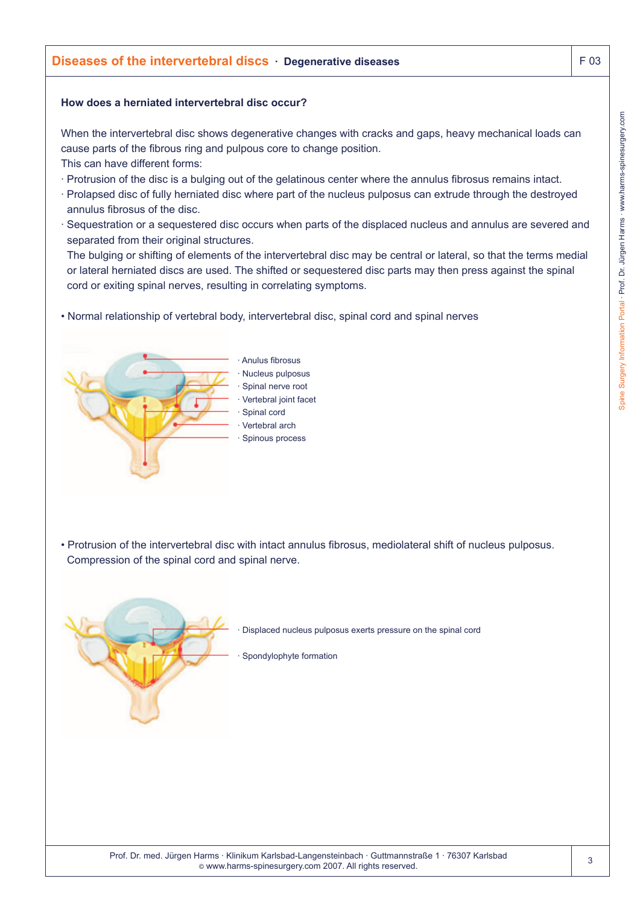# **How does a herniated intervertebral disc occur?**

When the intervertebral disc shows degenerative changes with cracks and gaps, heavy mechanical loads can cause parts of the fibrous ring and pulpous core to change position. This can have different forms:

- · Protrusion of the disc is a bulging out of the gelatinous center where the annulus fibrosus remains intact.
- · Prolapsed disc of fully herniated disc where part of the nucleus pulposus can extrude through the destroyed annulus fibrosus of the disc.
- · Sequestration or a sequestered disc occurs when parts of the displaced nucleus and annulus are severed and separated from their original structures.

The bulging or shifting of elements of the intervertebral disc may be central or lateral, so that the terms medial or lateral herniated discs are used. The shifted or sequestered disc parts may then press against the spinal cord or exiting spinal nerves, resulting in correlating symptoms.

• Normal relationship of vertebral body, intervertebral disc, spinal cord and spinal nerves



• Protrusion of the intervertebral disc with intact annulus fibrosus, mediolateral shift of nucleus pulposus. Compression of the spinal cord and spinal nerve.



· Displaced nucleus pulposus exerts pressure on the spinal cord

Spondylophyte formation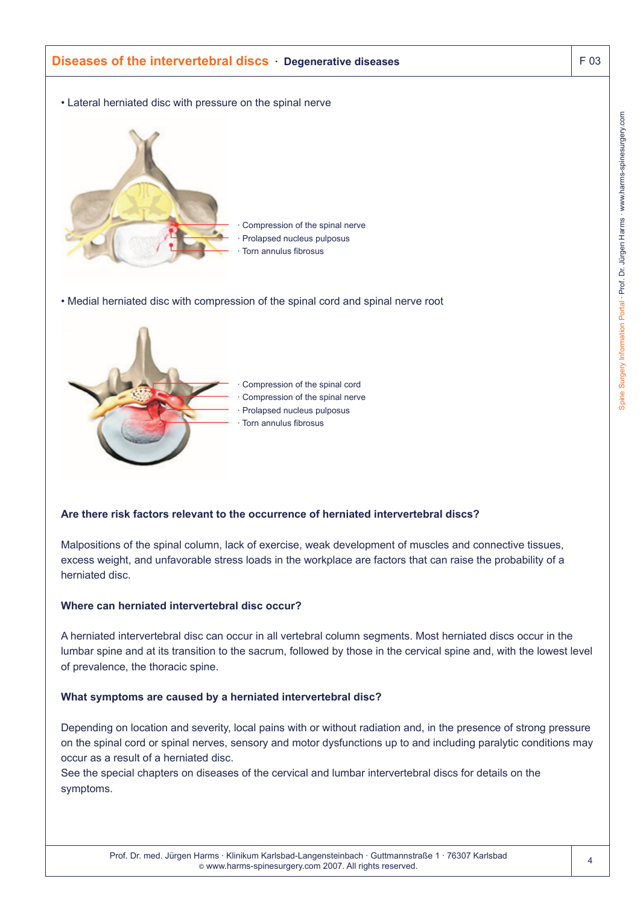

Malpositions of the spinal column, lack of exercise, weak development of muscles and connective tissues, excess weight, and unfavorable stress loads in the workplace are factors that can raise the probability of a herniated disc.

# **Where can herniated intervertebral disc occur?**

A herniated intervertebral disc can occur in all vertebral column segments. Most herniated discs occur in the lumbar spine and at its transition to the sacrum, followed by those in the cervical spine and, with the lowest level of prevalence, the thoracic spine.

#### **What symptoms are caused by a herniated intervertebral disc?**

Depending on location and severity, local pains with or without radiation and, in the presence of strong pressure on the spinal cord or spinal nerves, sensory and motor dysfunctions up to and including paralytic conditions may occur as a result of a herniated disc.

See the special chapters on diseases of the cervical and lumbar intervertebral discs for details on the symptoms.